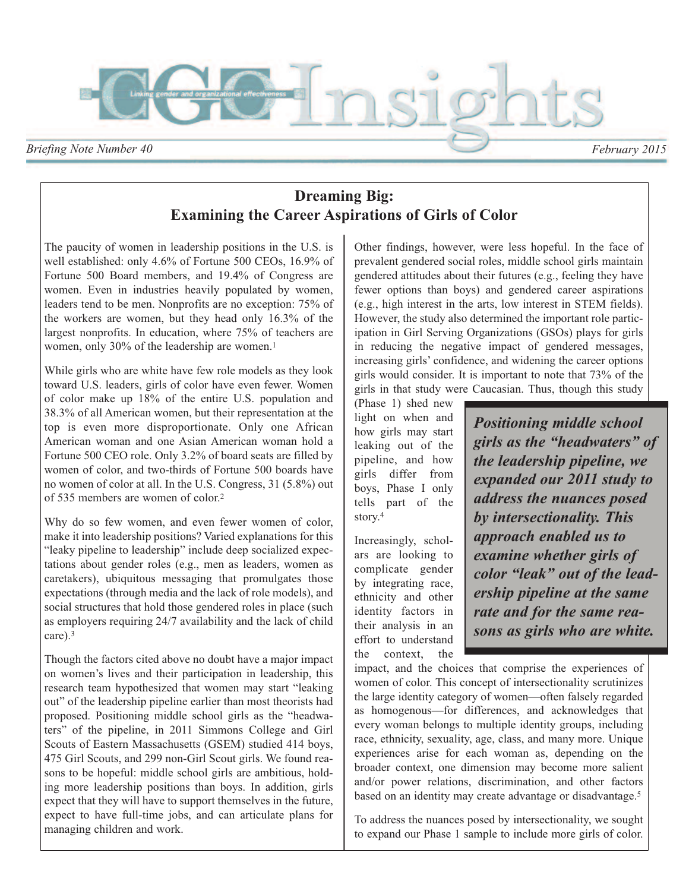

# **Dreaming Big: Examining the Career Aspirations of Girls of Color**

The paucity of women in leadership positions in the U.S. is well established: only 4.6% of Fortune 500 CEOs, 16.9% of Fortune 500 Board members, and 19.4% of Congress are women. Even in industries heavily populated by women, leaders tend to be men. Nonprofits are no exception: 75% of the workers are women, but they head only 16.3% of the largest nonprofits. In education, where 75% of teachers are women, only 30% of the leadership are women.<sup>1</sup>

While girls who are white have few role models as they look toward U.S. leaders, girls of color have even fewer. Women of color make up 18% of the entire U.S. population and 38.3% of all American women, but their representation at the top is even more disproportionate. Only one African American woman and one Asian American woman hold a Fortune 500 CEO role. Only 3.2% of board seats are filled by women of color, and two-thirds of Fortune 500 boards have no women of color at all. In the U.S. Congress, 31 (5.8%) out of 535 members are women of color.2

Why do so few women, and even fewer women of color, make it into leadership positions? Varied explanations for this "leaky pipeline to leadership" include deep socialized expectations about gender roles (e.g., men as leaders, women as caretakers), ubiquitous messaging that promulgates those expectations (through media and the lack of role models), and social structures that hold those gendered roles in place (such as employers requiring 24/7 availability and the lack of child care).3

Though the factors cited above no doubt have a major impact on women's lives and their participation in leadership, this research team hypothesized that women may start "leaking out" of the leadership pipeline earlier than most theorists had proposed. Positioning middle school girls as the "headwaters" of the pipeline, in 2011 Simmons College and Girl Scouts of Eastern Massachusetts (GSEM) studied 414 boys, 475 Girl Scouts, and 299 non-Girl Scout girls. We found reasons to be hopeful: middle school girls are ambitious, holding more leadership positions than boys. In addition, girls expect that they will have to support themselves in the future, expect to have full-time jobs, and can articulate plans for managing children and work.

Other findings, however, were less hopeful. In the face of prevalent gendered social roles, middle school girls maintain gendered attitudes about their futures (e.g., feeling they have fewer options than boys) and gendered career aspirations (e.g., high interest in the arts, low interest in STEM fields). However, the study also determined the important role participation in Girl Serving Organizations (GSOs) plays for girls in reducing the negative impact of gendered messages, increasing girls' confidence, and widening the career options girls would consider. It is important to note that 73% of the girls in that study were Caucasian. Thus, though this study

(Phase 1) shed new light on when and how girls may start leaking out of the pipeline, and how girls differ from boys, Phase I only tells part of the story.4

Increasingly, scholars are looking to complicate gender by integrating race, ethnicity and other identity factors in their analysis in an effort to understand the context, the

*Positioning middle school girls as the "headwaters" of the leadership pipeline, we expanded our 2011 study to address the nuances posed by intersectionality. This approach enabled us to examine whether girls of color "leak" out of the leadership pipeline at the same rate and for the same reasons as girls who are white.*

impact, and the choices that comprise the experiences of women of color. This concept of intersectionality scrutinizes the large identity category of women—often falsely regarded as homogenous—for differences, and acknowledges that every woman belongs to multiple identity groups, including race, ethnicity, sexuality, age, class, and many more. Unique experiences arise for each woman as, depending on the broader context, one dimension may become more salient and/or power relations, discrimination, and other factors based on an identity may create advantage or disadvantage.<sup>5</sup>

To address the nuances posed by intersectionality, we sought to expand our Phase 1 sample to include more girls of color.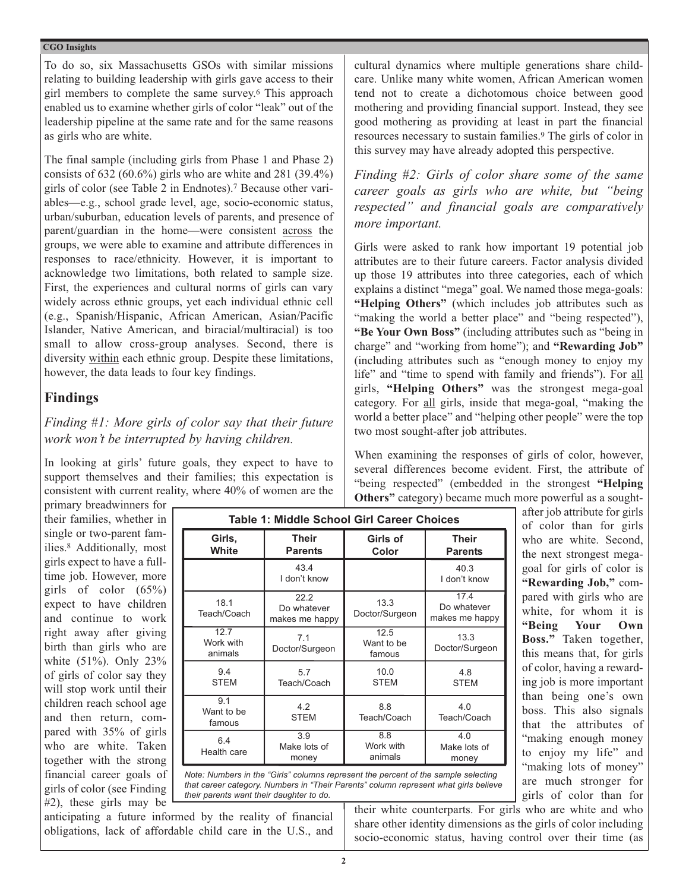To do so, six Massachusetts GSOs with similar missions relating to building leadership with girls gave access to their girl members to complete the same survey.6 This approach enabled us to examine whether girls of color "leak" out of the leadership pipeline at the same rate and for the same reasons as girls who are white.

The final sample (including girls from Phase 1 and Phase 2) consists of  $632 (60.6\%)$  girls who are white and  $281 (39.4\%)$ girls of color (see Table 2 in Endnotes).7 Because other variables—e.g., school grade level, age, socio-economic status, urban/suburban, education levels of parents, and presence of parent/guardian in the home—were consistent across the groups, we were able to examine and attribute differences in responses to race/ethnicity. However, it is important to acknowledge two limitations, both related to sample size. First, the experiences and cultural norms of girls can vary widely across ethnic groups, yet each individual ethnic cell (e.g., Spanish/Hispanic, African American, Asian/Pacific Islander, Native American, and biracial/multiracial) is too small to allow cross-group analyses. Second, there is diversity within each ethnic group. Despite these limitations, however, the data leads to four key findings.

### **Findings**

### *Finding #1: More girls of color say that their future work won't be interrupted by having children.*

In looking at girls' future goals, they expect to have to support themselves and their families; this expectation is consistent with current reality, where 40% of women are the cultural dynamics where multiple generations share childcare. Unlike many white women, African American women tend not to create a dichotomous choice between good mothering and providing financial support. Instead, they see good mothering as providing at least in part the financial resources necessary to sustain families.9 The girls of color in this survey may have already adopted this perspective.

*Finding #2: Girls of color share some of the same career goals as girls who are white, but "being respected" and financial goals are comparatively more important.*

Girls were asked to rank how important 19 potential job attributes are to their future careers. Factor analysis divided up those 19 attributes into three categories, each of which explains a distinct "mega" goal. We named those mega-goals: **"Helping Others"** (which includes job attributes such as "making the world a better place" and "being respected"), **"Be Your Own Boss"** (including attributes such as "being in charge" and "working from home"); and **"Rewarding Job"** (including attributes such as "enough money to enjoy my life" and "time to spend with family and friends"). For all girls, **"Helping Others"** was the strongest mega-goal category. For all girls, inside that mega-goal, "making the world a better place" and "helping other people" were the top two most sought-after job attributes.

When examining the responses of girls of color, however, several differences become evident. First, the attribute of "being respected" (embedded in the strongest **"Helping Others"** category) became much more powerful as a sought-

primary breadwinners for their families, whether in single or two-parent families.8 Additionally, most girls expect to have a fulltime job. However, more girls of color  $(65\%)$ expect to have children and continue to work right away after giving birth than girls who are white (51%). Only 23% of girls of color say they will stop work until their children reach school age and then return, compared with 35% of girls who are white. Taken together with the strong financial career goals of girls of color (see Finding #2), these girls may be

| <b>Table 1: Middle School Girl Career Choices</b> |                                       |                              |                                       |  |  |  |  |
|---------------------------------------------------|---------------------------------------|------------------------------|---------------------------------------|--|--|--|--|
| Girls,<br>White                                   | <b>Their</b><br><b>Parents</b>        | Girls of<br>Color            | <b>Their</b><br><b>Parents</b>        |  |  |  |  |
|                                                   | 43.4<br>I don't know                  |                              | 40.3<br>I don't know                  |  |  |  |  |
| 18.1<br>Teach/Coach                               | 22.2<br>Do whatever<br>makes me happy | 13.3<br>Doctor/Surgeon       | 17.4<br>Do whatever<br>makes me happy |  |  |  |  |
| 12.7<br>Work with<br>animals                      | 7.1<br>Doctor/Surgeon                 | 12.5<br>Want to be<br>famous | 13.3<br>Doctor/Surgeon                |  |  |  |  |
| 9.4<br><b>STEM</b>                                | 5.7<br>Teach/Coach                    | 10.0<br><b>STEM</b>          | 4.8<br><b>STEM</b>                    |  |  |  |  |
| 9.1<br>Want to be<br>famous                       | 4.2<br><b>STEM</b>                    | 8.8<br>Teach/Coach           | 4.0<br>Teach/Coach                    |  |  |  |  |
| 6.4<br>Health care                                | 3.9<br>Make lots of<br>money          | 8.8<br>Work with<br>animals  | 4.0<br>Make lots of<br>money          |  |  |  |  |



anticipating a future informed by the reality of financial obligations, lack of affordable child care in the U.S., and after job attribute for girls of color than for girls who are white. Second, the next strongest megagoal for girls of color is **"Rewarding Job,"** compared with girls who are white, for whom it is **"Being Your Own Boss."** Taken together, this means that, for girls of color, having a rewarding job is more important than being one's own boss. This also signals that the attributes of "making enough money to enjoy my life" and "making lots of money" are much stronger for girls of color than for

their white counterparts. For girls who are white and who share other identity dimensions as the girls of color including socio-economic status, having control over their time (as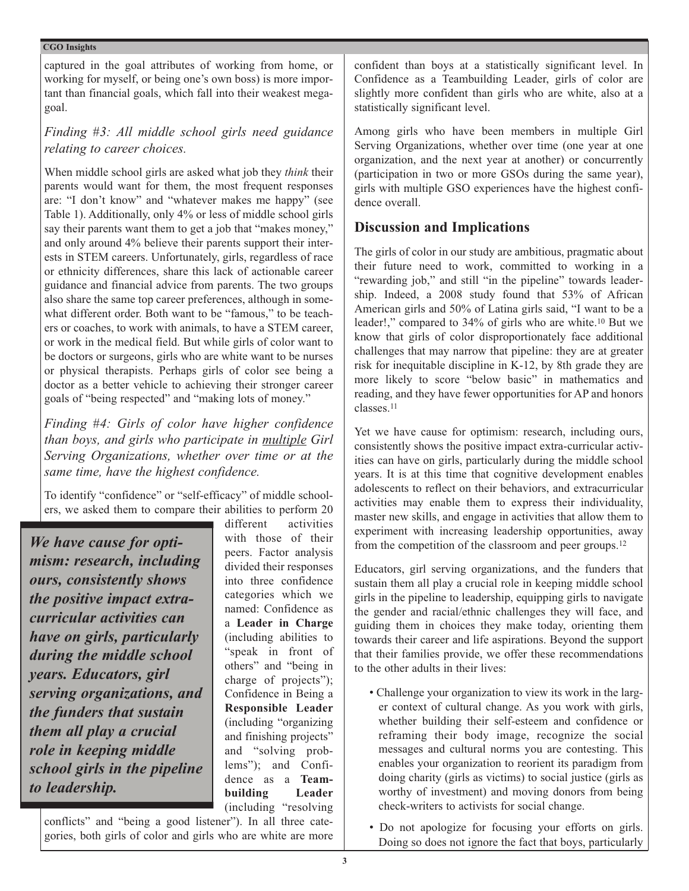captured in the goal attributes of working from home, or working for myself, or being one's own boss) is more important than financial goals, which fall into their weakest megagoal.

*Finding #3: All middle school girls need guidance relating to career choices.*

When middle school girls are asked what job they *think* their parents would want for them, the most frequent responses are: "I don't know" and "whatever makes me happy" (see Table 1). Additionally, only 4% or less of middle school girls say their parents want them to get a job that "makes money," and only around 4% believe their parents support their interests in STEM careers. Unfortunately, girls, regardless of race or ethnicity differences, share this lack of actionable career guidance and financial advice from parents. The two groups also share the same top career preferences, although in somewhat different order. Both want to be "famous," to be teachers or coaches, to work with animals, to have a STEM career, or work in the medical field. But while girls of color want to be doctors or surgeons, girls who are white want to be nurses or physical therapists. Perhaps girls of color see being a doctor as a better vehicle to achieving their stronger career goals of "being respected" and "making lots of money."

*Finding #4: Girls of color have higher confidence than boys, and girls who participate in multiple Girl Serving Organizations, whether over time or at the same time, have the highest confidence.*

To identify "confidence" or "self-efficacy" of middle schoolers, we asked them to compare their abilities to perform 20

*We have cause for optimism: research, including ours, consistently shows the positive impact extracurricular activities can have on girls, particularly during the middle school years. Educators, girl serving organizations, and the funders that sustain them all play a crucial role in keeping middle school girls in the pipeline to leadership.*

different activities with those of their peers. Factor analysis divided their responses into three confidence categories which we named: Confidence as a **Leader in Charge** (including abilities to "speak in front of others" and "being in charge of projects"); Confidence in Being a **Responsible Leader** (including "organizing and finishing projects" and "solving problems"); and Confidence as a **Teambuilding Leader** (including "resolving

conflicts" and "being a good listener"). In all three categories, both girls of color and girls who are white are more confident than boys at a statistically significant level. In Confidence as a Teambuilding Leader, girls of color are slightly more confident than girls who are white, also at a statistically significant level.

Among girls who have been members in multiple Girl Serving Organizations, whether over time (one year at one organization, and the next year at another) or concurrently (participation in two or more GSOs during the same year), girls with multiple GSO experiences have the highest confidence overall.

# **Discussion and Implications**

The girls of color in our study are ambitious, pragmatic about their future need to work, committed to working in a "rewarding job," and still "in the pipeline" towards leadership. Indeed, a 2008 study found that 53% of African American girls and 50% of Latina girls said, "I want to be a leader!," compared to 34% of girls who are white.10 But we know that girls of color disproportionately face additional challenges that may narrow that pipeline: they are at greater risk for inequitable discipline in K-12, by 8th grade they are more likely to score "below basic" in mathematics and reading, and they have fewer opportunities for AP and honors classes.11

Yet we have cause for optimism: research, including ours, consistently shows the positive impact extra-curricular activities can have on girls, particularly during the middle school years. It is at this time that cognitive development enables adolescents to reflect on their behaviors, and extracurricular activities may enable them to express their individuality, master new skills, and engage in activities that allow them to experiment with increasing leadership opportunities, away from the competition of the classroom and peer groups.12

Educators, girl serving organizations, and the funders that sustain them all play a crucial role in keeping middle school girls in the pipeline to leadership, equipping girls to navigate the gender and racial/ethnic challenges they will face, and guiding them in choices they make today, orienting them towards their career and life aspirations. Beyond the support that their families provide, we offer these recommendations to the other adults in their lives:

- Challenge your organization to view its work in the larger context of cultural change. As you work with girls, whether building their self-esteem and confidence or reframing their body image, recognize the social messages and cultural norms you are contesting. This enables your organization to reorient its paradigm from doing charity (girls as victims) to social justice (girls as worthy of investment) and moving donors from being check-writers to activists for social change.
- Do not apologize for focusing your efforts on girls. Doing so does not ignore the fact that boys, particularly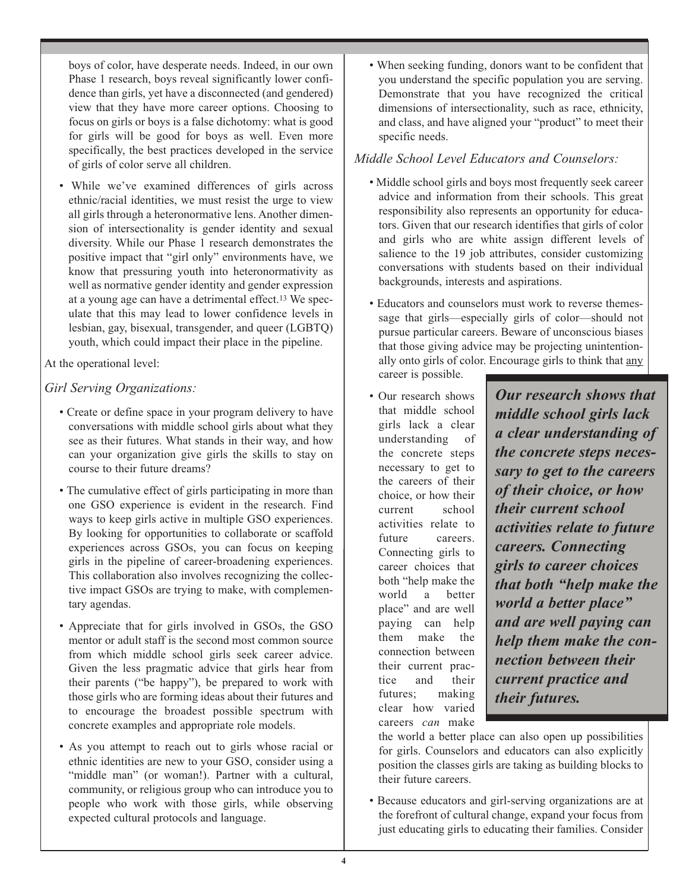boys of color, have desperate needs. Indeed, in our own Phase 1 research, boys reveal significantly lower confidence than girls, yet have a disconnected (and gendered) view that they have more career options. Choosing to focus on girls or boys is a false dichotomy: what is good for girls will be good for boys as well. Even more specifically, the best practices developed in the service of girls of color serve all children.

• While we've examined differences of girls across ethnic/racial identities, we must resist the urge to view all girls through a heteronormative lens. Another dimension of intersectionality is gender identity and sexual diversity. While our Phase 1 research demonstrates the positive impact that "girl only" environments have, we know that pressuring youth into heteronormativity as well as normative gender identity and gender expression at a young age can have a detrimental effect.13 We speculate that this may lead to lower confidence levels in lesbian, gay, bisexual, transgender, and queer (LGBTQ) youth, which could impact their place in the pipeline.

At the operational level:

### *Girl Serving Organizations:*

- Create or define space in your program delivery to have conversations with middle school girls about what they see as their futures. What stands in their way, and how can your organization give girls the skills to stay on course to their future dreams?
- The cumulative effect of girls participating in more than one GSO experience is evident in the research. Find ways to keep girls active in multiple GSO experiences. By looking for opportunities to collaborate or scaffold experiences across GSOs, you can focus on keeping girls in the pipeline of career-broadening experiences. This collaboration also involves recognizing the collective impact GSOs are trying to make, with complementary agendas.
- Appreciate that for girls involved in GSOs, the GSO mentor or adult staff is the second most common source from which middle school girls seek career advice. Given the less pragmatic advice that girls hear from their parents ("be happy"), be prepared to work with those girls who are forming ideas about their futures and to encourage the broadest possible spectrum with concrete examples and appropriate role models.
- As you attempt to reach out to girls whose racial or ethnic identities are new to your GSO, consider using a "middle man" (or woman!). Partner with a cultural, community, or religious group who can introduce you to people who work with those girls, while observing expected cultural protocols and language.

• When seeking funding, donors want to be confident that you understand the specific population you are serving. Demonstrate that you have recognized the critical dimensions of intersectionality, such as race, ethnicity, and class, and have aligned your "product" to meet their specific needs.

### *Middle School Level Educators and Counselors:*

- Middle school girls and boys most frequently seek career advice and information from their schools. This great responsibility also represents an opportunity for educators. Given that our research identifies that girls of color and girls who are white assign different levels of salience to the 19 job attributes, consider customizing conversations with students based on their individual backgrounds, interests and aspirations.
- Educators and counselors must work to reverse themessage that girls—especially girls of color—should not pursue particular careers. Beware of unconscious biases that those giving advice may be projecting unintentionally onto girls of color. Encourage girls to think that any career is possible.
- Our research shows that middle school girls lack a clear understanding of the concrete steps necessary to get to the careers of their choice, or how their current school activities relate to future careers. Connecting girls to career choices that both "help make the world a better place" and are well paying can help them make the connection between their current practice and their futures; making clear how varied careers *can* make

*Our research shows that middle school girls lack a clear understanding of the concrete steps necessary to get to the careers of their choice, or how their current school activities relate to future careers. Connecting girls to career choices that both "help make the world a better place" and are well paying can help them make the connection between their current practice and their futures.*

the world a better place can also open up possibilities for girls. Counselors and educators can also explicitly position the classes girls are taking as building blocks to their future careers.

• Because educators and girl-serving organizations are at the forefront of cultural change, expand your focus from just educating girls to educating their families. Consider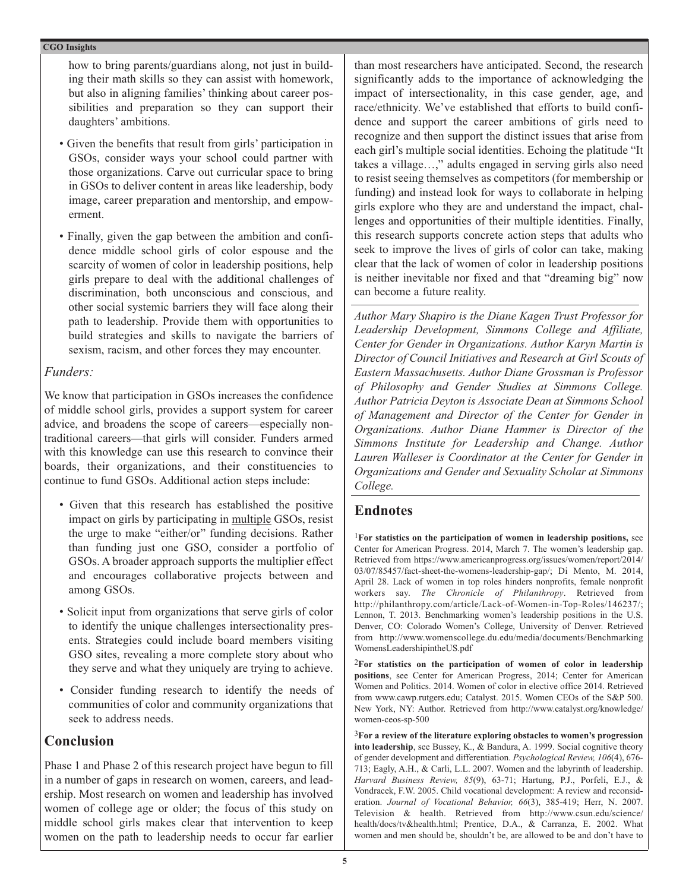how to bring parents/guardians along, not just in building their math skills so they can assist with homework, but also in aligning families' thinking about career possibilities and preparation so they can support their daughters' ambitions.

- Given the benefits that result from girls' participation in GSOs, consider ways your school could partner with those organizations. Carve out curricular space to bring in GSOs to deliver content in areas like leadership, body image, career preparation and mentorship, and empowerment.
- Finally, given the gap between the ambition and confidence middle school girls of color espouse and the scarcity of women of color in leadership positions, help girls prepare to deal with the additional challenges of discrimination, both unconscious and conscious, and other social systemic barriers they will face along their path to leadership. Provide them with opportunities to build strategies and skills to navigate the barriers of sexism, racism, and other forces they may encounter.

#### *Funders:*

We know that participation in GSOs increases the confidence of middle school girls, provides a support system for career advice, and broadens the scope of careers—especially nontraditional careers—that girls will consider. Funders armed with this knowledge can use this research to convince their boards, their organizations, and their constituencies to continue to fund GSOs. Additional action steps include:

- Given that this research has established the positive impact on girls by participating in multiple GSOs, resist the urge to make "either/or" funding decisions. Rather than funding just one GSO, consider a portfolio of GSOs. A broader approach supports the multiplier effect and encourages collaborative projects between and among GSOs.
- Solicit input from organizations that serve girls of color to identify the unique challenges intersectionality presents. Strategies could include board members visiting GSO sites, revealing a more complete story about who they serve and what they uniquely are trying to achieve.
- Consider funding research to identify the needs of communities of color and community organizations that seek to address needs.

## **Conclusion**

Phase 1 and Phase 2 of this research project have begun to fill in a number of gaps in research on women, careers, and leadership. Most research on women and leadership has involved women of college age or older; the focus of this study on middle school girls makes clear that intervention to keep women on the path to leadership needs to occur far earlier

than most researchers have anticipated. Second, the research significantly adds to the importance of acknowledging the impact of intersectionality, in this case gender, age, and race/ethnicity. We've established that efforts to build confidence and support the career ambitions of girls need to recognize and then support the distinct issues that arise from each girl's multiple social identities. Echoing the platitude "It takes a village…," adults engaged in serving girls also need to resist seeing themselves as competitors (for membership or funding) and instead look for ways to collaborate in helping girls explore who they are and understand the impact, challenges and opportunities of their multiple identities. Finally, this research supports concrete action steps that adults who seek to improve the lives of girls of color can take, making clear that the lack of women of color in leadership positions is neither inevitable nor fixed and that "dreaming big" now can become a future reality.

*Author Mary Shapiro is the Diane Kagen Trust Professor for Leadership Development, Simmons College and Affiliate, Center for Gender in Organizations. Author Karyn Martin is Director of Council Initiatives and Research at Girl Scouts of Eastern Massachusetts. Author Diane Grossman is Professor of Philosophy and Gender Studies at Simmons College. Author Patricia Deyton is Associate Dean at Simmons School of Management and Director of the Center for Gender in Organizations. Author Diane Hammer is Director of the Simmons Institute for Leadership and Change. Author Lauren Walleser is Coordinator at the Center for Gender in Organizations and Gender and Sexuality Scholar at Simmons College.*

## **Endnotes**

1**For statistics on the participation of women in leadership positions,** see Center for American Progress. 2014, March 7. The women's leadership gap. Retrieved from https://www.americanprogress.org/issues/women/report/2014/ 03/07/85457/fact-sheet-the-womens-leadership-gap/; Di Mento, M. 2014, April 28. Lack of women in top roles hinders nonprofits, female nonprofit workers say. *The Chronicle of Philanthropy*. Retrieved from http://philanthropy.com/article/Lack-of-Women-in-Top-Roles/146237/; Lennon, T. 2013. Benchmarking women's leadership positions in the U.S. Denver, CO: Colorado Women's College, University of Denver. Retrieved from http://www.womenscollege.du.edu/media/documents/Benchmarking WomensLeadershipintheUS.pdf

2**For statistics on the participation of women of color in leadership positions**, see Center for American Progress, 2014; Center for American Women and Politics. 2014. Women of color in elective office 2014. Retrieved from www.cawp.rutgers.edu; Catalyst. 2015. Women CEOs of the S&P 500. New York, NY: Author. Retrieved from http://www.catalyst.org/knowledge/ women-ceos-sp-500

3**For a review of the literature exploring obstacles to women's progression into leadership**, see Bussey, K., & Bandura, A. 1999. Social cognitive theory of gender development and differentiation. *Psychological Review, 106*(4), 676- 713; Eagly, A.H., & Carli, L.L. 2007. Women and the labyrinth of leadership. *Harvard Business Review, 85*(9), 63-71; Hartung, P.J., Porfeli, E.J., & Vondracek, F.W. 2005. Child vocational development: A review and reconsideration. *Journal of Vocational Behavior, 66*(3), 385-419; Herr, N. 2007. Television & health. Retrieved from http://www.csun.edu/science/ health/docs/tv&health.html; Prentice, D.A., & Carranza, E. 2002. What women and men should be, shouldn't be, are allowed to be and don't have to